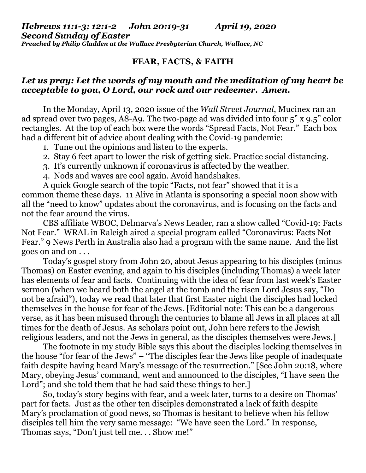## *Hebrews 11:1-3; 12:1-2 John 20:19-31 April 19, 2020 Second Sunday of Easter*

*Preached by Philip Gladden at the Wallace Presbyterian Church, Wallace, NC*

## **FEAR, FACTS, & FAITH**

## *Let us pray: Let the words of my mouth and the meditation of my heart be acceptable to you, O Lord, our rock and our redeemer. Amen.*

In the Monday, April 13, 2020 issue of the *Wall Street Journal*, Mucinex ran an ad spread over two pages, A8-A9. The two-page ad was divided into four 5" x 9.5" color rectangles. At the top of each box were the words "Spread Facts, Not Fear." Each box had a different bit of advice about dealing with the Covid-19 pandemic:

- 1. Tune out the opinions and listen to the experts.
- 2. Stay 6 feet apart to lower the risk of getting sick. Practice social distancing.
- 3. It's currently unknown if coronavirus is affected by the weather.
- 4. Nods and waves are cool again. Avoid handshakes.

A quick Google search of the topic "Facts, not fear" showed that it is a common theme these days. 11 Alive in Atlanta is sponsoring a special noon show with all the "need to know" updates about the coronavirus, and is focusing on the facts and not the fear around the virus.

CBS affiliate WBOC, Delmarva's News Leader, ran a show called "Covid-19: Facts Not Fear." WRAL in Raleigh aired a special program called "Coronavirus: Facts Not Fear." 9 News Perth in Australia also had a program with the same name. And the list goes on and on . . .

Today's gospel story from John 20, about Jesus appearing to his disciples (minus Thomas) on Easter evening, and again to his disciples (including Thomas) a week later has elements of fear and facts. Continuing with the idea of fear from last week's Easter sermon (when we heard both the angel at the tomb and the risen Lord Jesus say, "Do not be afraid"), today we read that later that first Easter night the disciples had locked themselves in the house for fear of the Jews. [Editorial note: This can be a dangerous verse, as it has been misused through the centuries to blame all Jews in all places at all times for the death of Jesus. As scholars point out, John here refers to the Jewish religious leaders, and not the Jews in general, as the disciples themselves were Jews.]

The footnote in my study Bible says this about the disciples locking themselves in the house "for fear of the Jews" – "The disciples fear the Jews like people of inadequate faith despite having heard Mary's message of the resurrection." [See John 20:18, where Mary, obeying Jesus' command, went and announced to the disciples, "I have seen the Lord"; and she told them that he had said these things to her.

So, today's story begins with fear, and a week later, turns to a desire on Thomas' part for facts. Just as the other ten disciples demonstrated a lack of faith despite Mary's proclamation of good news, so Thomas is hesitant to believe when his fellow disciples tell him the very same message: "We have seen the Lord." In response, Thomas says, "Don't just tell me. . . Show me!"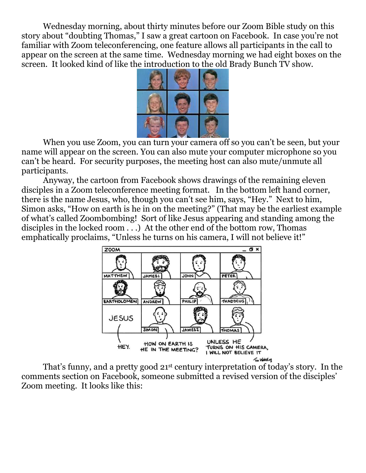Wednesday morning, about thirty minutes before our Zoom Bible study on this story about "doubting Thomas," I saw a great cartoon on Facebook. In case you're not familiar with Zoom teleconferencing, one feature allows all participants in the call to appear on the screen at the same time. Wednesday morning we had eight boxes on the screen. It looked kind of like the introduction to the old Brady Bunch TV show.



When you use Zoom, you can turn your camera off so you can't be seen, but your name will appear on the screen. You can also mute your computer microphone so you can't be heard. For security purposes, the meeting host can also mute/unmute all participants.

Anyway, the cartoon from Facebook shows drawings of the remaining eleven disciples in a Zoom teleconference meeting format. In the bottom left hand corner, there is the name Jesus, who, though you can't see him, says, "Hey." Next to him, Simon asks, "How on earth is he in on the meeting?" (That may be the earliest example of what's called Zoombombing! Sort of like Jesus appearing and standing among the disciples in the locked room . . .) At the other end of the bottom row, Thomas emphatically proclaims, "Unless he turns on his camera, I will not believe it!"



That's funny, and a pretty good 21st century interpretation of today's story. In the comments section on Facebook, someone submitted a revised version of the disciples' Zoom meeting. It looks like this: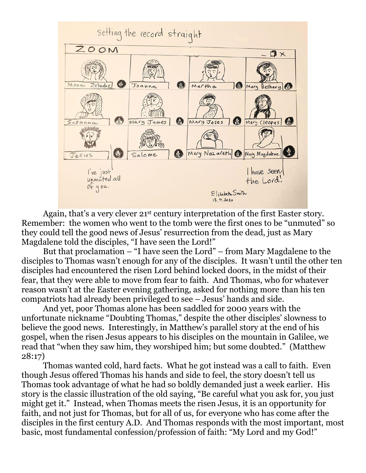

Again, that's a very clever 21<sup>st</sup> century interpretation of the first Easter story. Remember: the women who went to the tomb were the first ones to be "unmuted" so they could tell the good news of Jesus' resurrection from the dead, just as Mary Magdalene told the disciples, "I have seen the Lord!"

But that proclamation – "I have seen the Lord" – from Mary Magdalene to the disciples to Thomas wasn't enough for any of the disciples. It wasn't until the other ten disciples had encountered the risen Lord behind locked doors, in the midst of their fear, that they were able to move from fear to faith. And Thomas, who for whatever reason wasn't at the Easter evening gathering, asked for nothing more than his ten compatriots had already been privileged to see – Jesus' hands and side.

And yet, poor Thomas alone has been saddled for 2000 years with the unfortunate nickname "Doubting Thomas," despite the other disciples' slowness to believe the good news. Interestingly, in Matthew's parallel story at the end of his gospel, when the risen Jesus appears to his disciples on the mountain in Galilee, we read that "when they saw him, they worshiped him; but some doubted." (Matthew 28:17)

Thomas wanted cold, hard facts. What he got instead was a call to faith. Even though Jesus offered Thomas his hands and side to feel, the story doesn't tell us Thomas took advantage of what he had so boldly demanded just a week earlier. His story is the classic illustration of the old saying, "Be careful what you ask for, you just might get it." Instead, when Thomas meets the risen Jesus, it is an opportunity for faith, and not just for Thomas, but for all of us, for everyone who has come after the disciples in the first century A.D. And Thomas responds with the most important, most basic, most fundamental confession/profession of faith: "My Lord and my God!"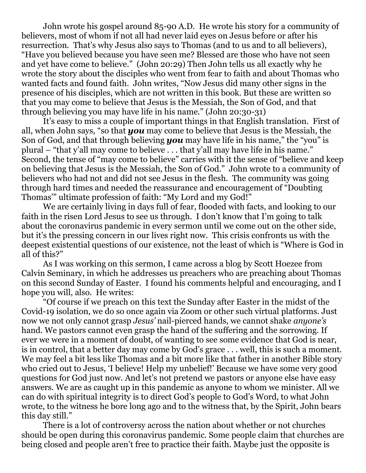John wrote his gospel around 85-90 A.D. He wrote his story for a community of believers, most of whom if not all had never laid eyes on Jesus before or after his resurrection. That's why Jesus also says to Thomas (and to us and to all believers), "Have you believed because you have seen me? Blessed are those who have not seen and yet have come to believe." (John 20:29) Then John tells us all exactly why he wrote the story about the disciples who went from fear to faith and about Thomas who wanted facts and found faith. John writes, "Now Jesus did many other signs in the presence of his disciples, which are not written in this book. But these are written so that you may come to believe that Jesus is the Messiah, the Son of God, and that through believing you may have life in his name." (John 20:30-31)

It's easy to miss a couple of important things in that English translation. First of all, when John says, "so that *you* may come to believe that Jesus is the Messiah, the Son of God, and that through believing *you* may have life in his name," the "you" is plural – "that y'all may come to believe . . . that y'all may have life in his name." Second, the tense of "may come to believe" carries with it the sense of "believe and keep on believing that Jesus is the Messiah, the Son of God." John wrote to a community of believers who had not and did not see Jesus in the flesh. The community was going through hard times and needed the reassurance and encouragement of "Doubting Thomas'" ultimate profession of faith: "My Lord and my God!"

We are certainly living in days full of fear, flooded with facts, and looking to our faith in the risen Lord Jesus to see us through. I don't know that I'm going to talk about the coronavirus pandemic in every sermon until we come out on the other side, but it's the pressing concern in our lives right now. This crisis confronts us with the deepest existential questions of our existence, not the least of which is "Where is God in all of this?"

As I was working on this sermon, I came across a blog by Scott Hoezee from Calvin Seminary, in which he addresses us preachers who are preaching about Thomas on this second Sunday of Easter. I found his comments helpful and encouraging, and I hope you will, also. He writes:

"Of course if we preach on this text the Sunday after Easter in the midst of the Covid-19 isolation, we do so once again via Zoom or other such virtual platforms. Just now we not only cannot grasp *Jesus'* nail-pierced hands, we cannot shake *anyone's* hand. We pastors cannot even grasp the hand of the suffering and the sorrowing. If ever we were in a moment of doubt, of wanting to see some evidence that God is near, is in control, that a better day may come by God's grace . . . well, this is such a moment. We may feel a bit less like Thomas and a bit more like that father in another Bible story who cried out to Jesus, 'I believe! Help my unbelief!' Because we have some very good questions for God just now. And let's not pretend we pastors or anyone else have easy answers. We are as caught up in this pandemic as anyone to whom we minister. All we can do with spiritual integrity is to direct God's people to God's Word, to what John wrote, to the witness he bore long ago and to the witness that, by the Spirit, John bears this day still."

There is a lot of controversy across the nation about whether or not churches should be open during this coronavirus pandemic. Some people claim that churches are being closed and people aren't free to practice their faith. Maybe just the opposite is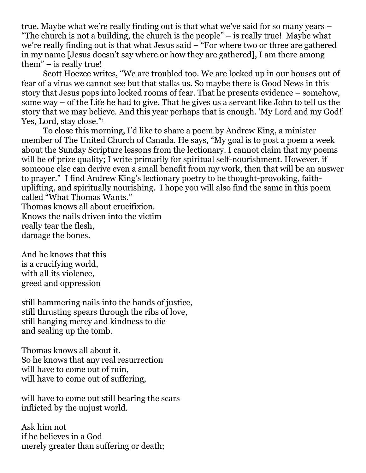true. Maybe what we're really finding out is that what we've said for so many years – "The church is not a building, the church is the people" – is really true! Maybe what we're really finding out is that what Jesus said – "For where two or three are gathered in my name [Jesus doesn't say where or how they are gathered], I am there among them" – is really true!

Scott Hoezee writes, "We are troubled too. We are locked up in our houses out of fear of a virus we cannot see but that stalks us. So maybe there is Good News in this story that Jesus pops into locked rooms of fear. That he presents evidence – somehow, some way – of the Life he had to give. That he gives us a servant like John to tell us the story that we may believe. And this year perhaps that is enough. 'My Lord and my God!' Yes, Lord, stay close." 1

To close this morning, I'd like to share a poem by Andrew King, a minister member of The United Church of Canada. He says, "My goal is to post a poem a week about the Sunday Scripture lessons from the lectionary. I cannot claim that my poems will be of prize quality; I write primarily for spiritual self-nourishment. However, if someone else can derive even a small benefit from my work, then that will be an answer to prayer." I find Andrew King's lectionary poetry to be thought-provoking, faithuplifting, and spiritually nourishing. I hope you will also find the same in this poem called "What Thomas Wants." Thomas knows all about crucifixion. Knows the nails driven into the victim really tear the flesh, damage the bones.

And he knows that this is a crucifying world, with all its violence,

greed and oppression

still hammering nails into the hands of justice, still thrusting spears through the ribs of love, still hanging mercy and kindness to die and sealing up the tomb.

Thomas knows all about it. So he knows that any real resurrection will have to come out of ruin, will have to come out of suffering,

will have to come out still bearing the scars inflicted by the unjust world.

Ask him not if he believes in a God merely greater than suffering or death;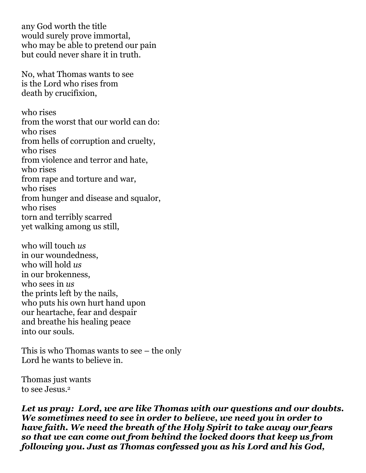any God worth the title would surely prove immortal, who may be able to pretend our pain but could never share it in truth.

No, what Thomas wants to see is the Lord who rises from death by crucifixion,

who rises from the worst that our world can do: who rises from hells of corruption and cruelty, who rises from violence and terror and hate, who rises from rape and torture and war, who rises from hunger and disease and squalor, who rises torn and terribly scarred yet walking among us still,

who will touch *us* in our woundedness, who will hold *us* in our brokenness, who sees in *us* the prints left by the nails, who puts his own hurt hand upon our heartache, fear and despair and breathe his healing peace into our souls.

This is who Thomas wants to see – the only Lord he wants to believe in.

Thomas just wants to see Jesus.<sup>2</sup>

*Let us pray: Lord, we are like Thomas with our questions and our doubts. We sometimes need to see in order to believe, we need you in order to have faith. We need the breath of the Holy Spirit to take away our fears so that we can come out from behind the locked doors that keep us from following you. Just as Thomas confessed you as his Lord and his God,*